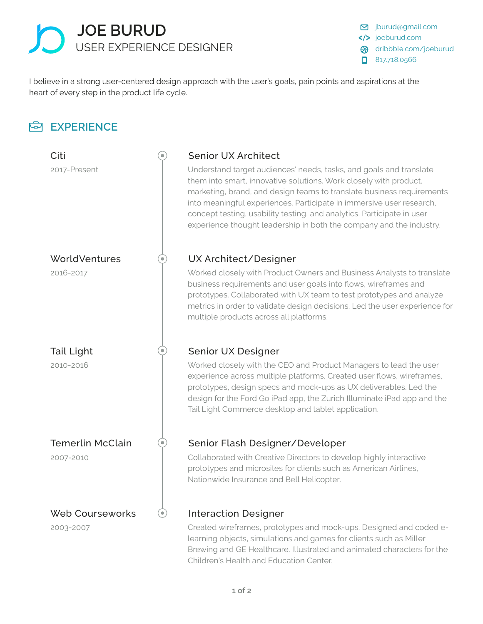

signal.com joeburud.com dribbble.com/joeburud ജ 817.718.0566

I believe in a strong user-centered design approach with the user's goals, pain points and aspirations at the heart of every step in the product life cycle.

### **EXPERIENCE** Citi Senior UX Architect 2017-Present Understand target audiences' needs, tasks, and goals and translate them into smart, innovative solutions. Work closely with product, marketing, brand, and design teams to translate business requirements into meaningful experiences. Participate in immersive user research, concept testing, usability testing, and analytics. Participate in user experience thought leadership in both the company and the industry. WorldVentures **WorldVentures** UX Architect/Designer 2016-2017 **Morked closely with Product Owners and Business Analysts to translate** business requirements and user goals into flows, wireframes and prototypes. Collaborated with UX team to test prototypes and analyze metrics in order to validate design decisions. Led the user experience for multiple products across all platforms. Tail Light Senior UX Designer ۰ 2010-2016 Worked closely with the CEO and Product Managers to lead the user experience across multiple platforms. Created user flows, wireframes, prototypes, design specs and mock-ups as UX deliverables. Led the design for the Ford Go iPad app, the Zurich Illuminate iPad app and the Tail Light Commerce desktop and tablet application. Temerlin McClain  $(\bullet)$ Senior Flash Designer/Developer Collaborated with Creative Directors to develop highly interactive 2007-2010 prototypes and microsites for clients such as American Airlines, Nationwide Insurance and Bell Helicopter. Web Courseworks Interaction Designer (⊜) Created wireframes, prototypes and mock-ups. Designed and coded e-2003-2007

learning objects, simulations and games for clients such as Miller Brewing and GE Healthcare. Illustrated and animated characters for the Children's Health and Education Center.